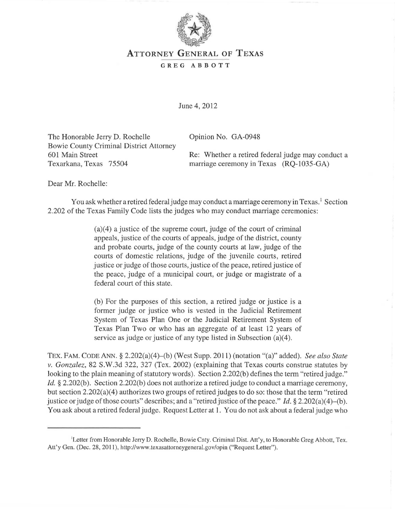

## ATTORNEY GENERAL OF TEXAS

## GREG ABBOTT

June 4,2012

The Honorable Jerry D. Rochelle Bowie County Criminal District Attorney 601 Main Street Texarkana, Texas 75504

Opinion No. GA-0948

Re: Whether a retired federal judge may conduct a marriage ceremony in Texas (RQ-1035-GA)

Dear Mr. Rochelle:

You ask whether a retired federal judge may conduct a marriage ceremony in Texas.<sup>1</sup> Section 2.202 of the Texas Family Code lists the judges who may conduct marriage ceremonies:

> $(a)(4)$  a justice of the supreme court, judge of the court of criminal appeals, justice of the courts of appeals, judge of the district, county and probate courts, judge of the county courts at law, judge of the courts of domestic relations, judge of the juvenile courts, retired justice or judge of those courts, justice of the peace, retired justice of the peace, judge of a municipal court, or judge or magistrate of a federal court of this state.

> (b) For the purposes of this section, a retired judge or justice is a former judge or justice who is vested in the Judicial Retirement System of Texas Plan One or the Judicial Retirement System of Texas Plan Two or who has an aggregate of at least 12 years of service as judge or justice of any type listed in Subsection (a)(4).

TEX. FAM. CODE ANN. § 2.202(a)(4)-(b) (West Supp. 2011) (notation "(a)" added). *See also State v. Gonzalez,* 82 S.W.3d 322, 327 (Tex. 2002) (explaining that Texas courts construe statutes by looking to the plain meaning of statutory words). Section 2.202(b) defines the term "retired judge." *Id.* § 2.202(b). Section 2.202(b) does not authorize a retired judge to conduct a marriage ceremony, but section  $2.202(a)(4)$  authorizes two groups of retired judges to do so: those that the term "retired justice or judge of those courts" describes; and a "retired justice of the peace." *Id.* § 2.202(a)(4)–(b). You ask about a retired federal judge. Request Letter at 1. You do not ask about a federal judge who

<sup>&</sup>lt;sup>1</sup>Letter from Honorable Jerry D. Rochelle, Bowie Cnty. Criminal Dist. Att'y, to Honorable Greg Abbott, Tex. Att'y Gen. (Dec. 28, 2011), http://www.texasattorneygeneral.gov/opin ("Request Letter").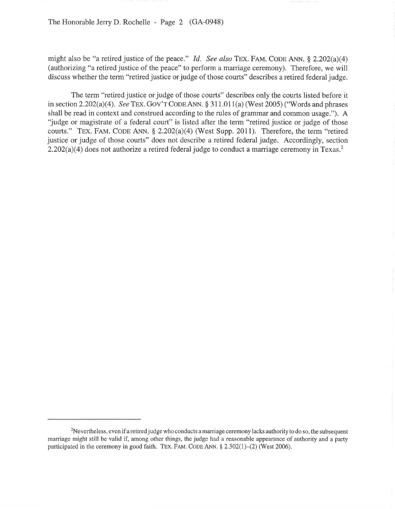might also be "a retired justice of the peace." *[d. See also* TEX. FAM. CODE ANN. § 2.202(a)(4) (authorizing "a retired justice of the peace" to perform a marriage ceremony). Therefore, we will discuss whether the term "retired justice or judge of those courts" describes a retired federal judge.

The term "retired justice or judge of those courts" describes only the courts listed before it in section  $2.202(a)(4)$ . *See TEX.* GOV'T CODE ANN. §  $311.011(a)$  (West  $2005$ ) ("Words and phrases" shall be read in context and construed according to the rules of grammar and common usage."). A "judge or magistrate of a federal court" is listed after the term "retired justice or judge of those courts." TEX. FAM. CODE ANN. § 2.202(a)(4) (West Supp. 2011). Therefore, the term "retired justice or judge of those courts" does not describe a retired federal judge. Accordingly, section  $2.202(a)(4)$  does not authorize a retired federal judge to conduct a marriage ceremony in Texas.<sup>2</sup>

<sup>&</sup>lt;sup>2</sup>Nevertheless, even if a retired judge who conducts a marriage ceremony lacks authority to do so, the subsequent marriage might still be valid if, among other things, the judge had a reasonable appearance of authority and a party participated in the ceremony in good faith. TEX. FAM. CODE ANN. § 2.302(1)-(2) (West 2006).